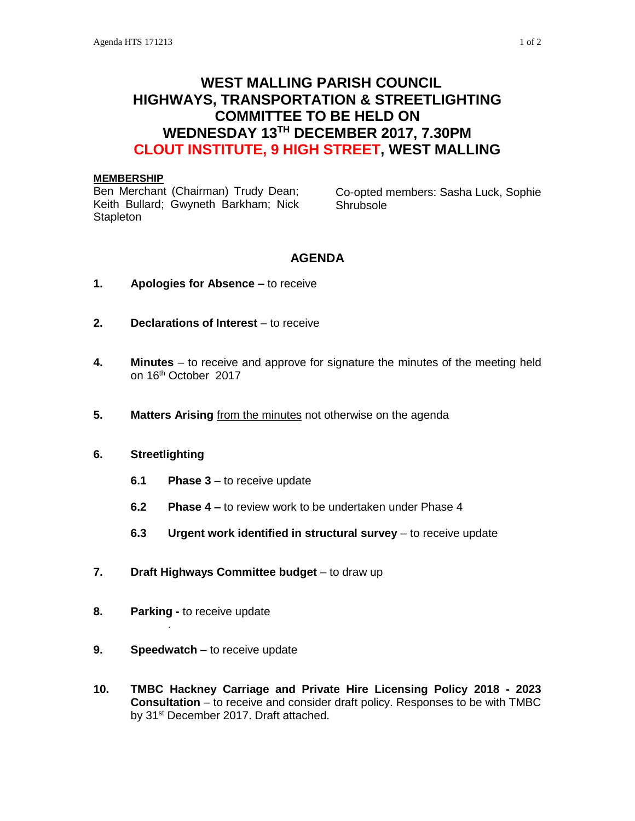# **WEST MALLING PARISH COUNCIL HIGHWAYS, TRANSPORTATION & STREETLIGHTING COMMITTEE TO BE HELD ON WEDNESDAY 13TH DECEMBER 2017, 7.30PM CLOUT INSTITUTE, 9 HIGH STREET, WEST MALLING**

#### **MEMBERSHIP**

Ben Merchant (Chairman) Trudy Dean; Keith Bullard; Gwyneth Barkham; Nick **Stapleton** 

Co-opted members: Sasha Luck, Sophie **Shrubsole** 

# **AGENDA**

- **1. Apologies for Absence –** to receive
- **2. Declarations of Interest** to receive
- **4. Minutes**  to receive and approve for signature the minutes of the meeting held on 16th October 2017
- **5. Matters Arising** from the minutes not otherwise on the agenda
- **6. Streetlighting**

**. . . . . . . . .** 

- **6.1 Phase 3** to receive update
- **6.2 Phase 4 –** to review work to be undertaken under Phase 4
- **6.3 Urgent work identified in structural survey** to receive update
- **7. Draft Highways Committee budget** to draw up
- **8. Parking -** to receive update
- **9. Speedwatch** to receive update
- **10. TMBC Hackney Carriage and Private Hire Licensing Policy 2018 - 2023 Consultation** – to receive and consider draft policy. Responses to be with TMBC by 31<sup>st</sup> December 2017. Draft attached.